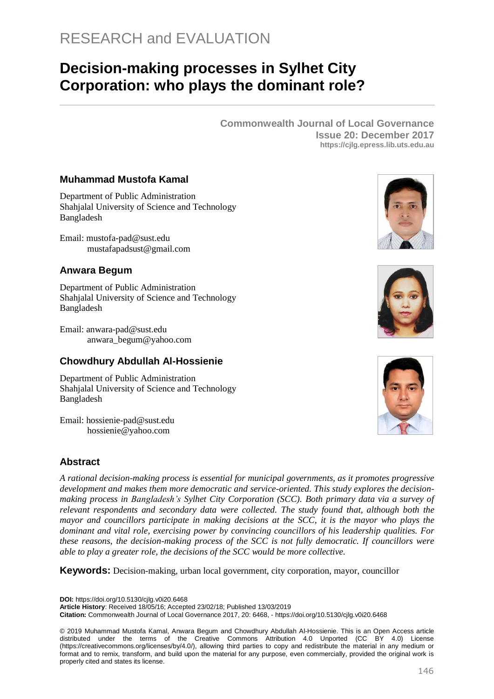# **Decision-making processes in Sylhet City Corporation: who plays the dominant role?**

**Commonwealth Journal of Local Governance Issue 20: December 2017 https://cjlg.epress.lib.uts.edu.au**

## **Muhammad Mustofa Kamal**

Department of Public Administration Shahjalal University of Science and Technology Bangladesh

Email: mustofa-pad@sust.edu [mustafapadsust@gmail.com](mailto:mustafapadsust@gmail.com)

## **Anwara Begum**

Department of Public Administration Shahjalal University of Science and Technology Bangladesh

Email: anwara-pad@sust.edu [anwara\\_begum@yahoo.com](mailto:anwara_begum@yahoo.com)

## **Chowdhury Abdullah Al-Hossienie**

Department of Public Administration Shahjalal University of Science and Technology Bangladesh

Email: hossienie-pad@sust.edu [hossienie@yahoo.com](mailto:hossienie@yahoo.com)

## **Abstract**

*A rational decision-making process is essential for municipal governments, as it promotes progressive development and makes them more democratic and service-oriented. This study explores the decisionmaking process in Bangladesh's Sylhet City Corporation (SCC). Both primary data via a survey of relevant respondents and secondary data were collected. The study found that, although both the mayor and councillors participate in making decisions at the SCC, it is the mayor who plays the dominant and vital role, exercising power by convincing councillors of his leadership qualities. For these reasons, the decision-making process of the SCC is not fully democratic. If councillors were able to play a greater role, the decisions of the SCC would be more collective.*

**Keywords:** Decision-making, urban local government, city corporation, mayor, councillor

**DOI:** https://doi.org/10.5130/cjlg.v0i20.6468 **Article History**: Received 18/05/16; Accepted 23/02/18; Published 13/03/2019 **Citation:** Commonwealth Journal of Local Governance 2017, 20: 6468, - https://doi.org/10.5130/cjlg.v0i20.6468

© 2019 Muhammad Mustofa Kamal, Anwara Begum and Chowdhury Abdullah Al-Hossienie. This is an Open Access article distributed under the terms of the Creative Commons Attribution 4.0 Unported (CC BY 4.0) License [\(https://creativecommons.org/licenses/by/4.0/\)](https://creativecommons.org/licenses/by/4.0/), allowing third parties to copy and redistribute the material in any medium or format and to remix, transform, and build upon the material for any purpose, even commercially, provided the original work is properly cited and states its license.





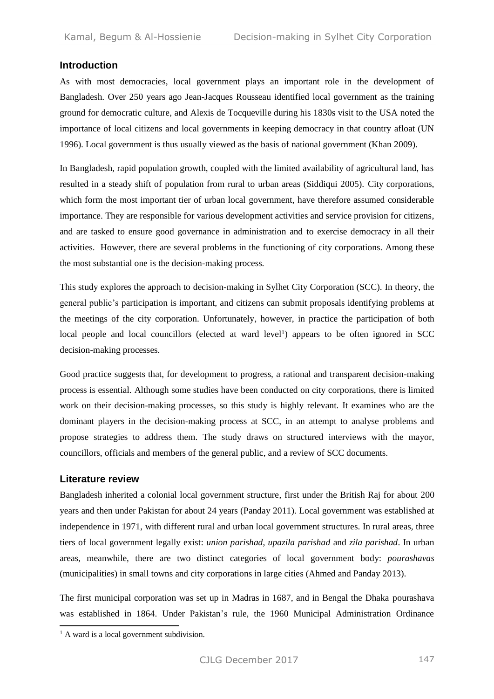#### **Introduction**

As with most democracies, local government plays an important role in the development of Bangladesh. Over 250 years ago Jean-Jacques Rousseau identified local government as the training ground for democratic culture, and Alexis de Tocqueville during his 1830s visit to the USA noted the importance of local citizens and local governments in keeping democracy in that country afloat (UN 1996). Local government is thus usually viewed as the basis of national government (Khan 2009).

In Bangladesh, rapid population growth, coupled with the limited availability of agricultural land, has resulted in a steady shift of population from rural to urban areas (Siddiqui 2005). City corporations, which form the most important tier of urban local government, have therefore assumed considerable importance. They are responsible for various development activities and service provision for citizens, and are tasked to ensure good governance in administration and to exercise democracy in all their activities. However, there are several problems in the functioning of city corporations. Among these the most substantial one is the decision-making process.

This study explores the approach to decision-making in Sylhet City Corporation (SCC). In theory, the general public's participation is important, and citizens can submit proposals identifying problems at the meetings of the city corporation. Unfortunately, however, in practice the participation of both local people and local councillors (elected at ward level<sup>1</sup>) appears to be often ignored in SCC decision-making processes.

Good practice suggests that, for development to progress, a rational and transparent decision-making process is essential. Although some studies have been conducted on city corporations, there is limited work on their decision-making processes, so this study is highly relevant. It examines who are the dominant players in the decision-making process at SCC, in an attempt to analyse problems and propose strategies to address them. The study draws on structured interviews with the mayor, councillors, officials and members of the general public, and a review of SCC documents.

#### **Literature review**

-

Bangladesh inherited a colonial local government structure, first under the British Raj for about 200 years and then under Pakistan for about 24 years (Panday 2011). Local government was established at independence in 1971, with different rural and urban local government structures. In rural areas, three tiers of local government legally exist: *union parishad*, *upazila parishad* and *zila parishad*. In urban areas, meanwhile, there are two distinct categories of local government body: *pourashavas* (municipalities) in small towns and city corporations in large cities (Ahmed and Panday 2013).

The first municipal corporation was set up in Madras in 1687, and in Bengal the Dhaka pourashava was established in 1864. Under Pakistan's rule, the 1960 Municipal Administration Ordinance

 $<sup>1</sup>$  A ward is a local government subdivision.</sup>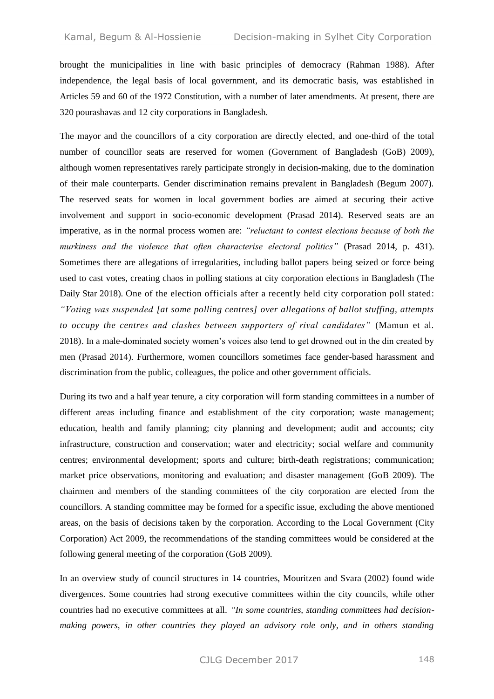brought the municipalities in line with basic principles of democracy (Rahman 1988). After independence, the legal basis of local government, and its democratic basis, was established in Articles 59 and 60 of the 1972 Constitution, with a number of later amendments. At present, there are 320 pourashavas and 12 city corporations in Bangladesh.

The mayor and the councillors of a city corporation are directly elected, and one-third of the total number of councillor seats are reserved for women (Government of Bangladesh (GoB) 2009), although women representatives rarely participate strongly in decision-making, due to the domination of their male counterparts. Gender discrimination remains prevalent in Bangladesh (Begum 2007). The reserved seats for women in local government bodies are aimed at securing their active involvement and support in socio-economic development (Prasad 2014). Reserved seats are an imperative, as in the normal process women are: *"reluctant to contest elections because of both the murkiness and the violence that often characterise electoral politics"* (Prasad 2014, p. 431). Sometimes there are allegations of irregularities, including ballot papers being seized or force being used to cast votes, creating chaos in polling stations at city corporation elections in Bangladesh (The Daily Star 2018). One of the election officials after a recently held city corporation poll stated: *"Voting was suspended [at some polling centres] over allegations of ballot stuffing, attempts to occupy the centres and clashes between supporters of rival candidates"* (Mamun et al. 2018). In a male-dominated society women's voices also tend to get drowned out in the din created by men (Prasad 2014). Furthermore, women councillors sometimes face gender-based harassment and discrimination from the public, colleagues, the police and other government officials.

During its two and a half year tenure, a city corporation will form standing committees in a number of different areas including finance and establishment of the city corporation; waste management; education, health and family planning; city planning and development; audit and accounts; city infrastructure, construction and conservation; water and electricity; social welfare and community centres; environmental development; sports and culture; birth-death registrations; communication; market price observations, monitoring and evaluation; and disaster management (GoB 2009). The chairmen and members of the standing committees of the city corporation are elected from the councillors. A standing committee may be formed for a specific issue, excluding the above mentioned areas, on the basis of decisions taken by the corporation. According to the Local Government (City Corporation) Act 2009, the recommendations of the standing committees would be considered at the following general meeting of the corporation (GoB 2009).

In an overview study of council structures in 14 countries, Mouritzen and Svara (2002) found wide divergences. Some countries had strong executive committees within the city councils, while other countries had no executive committees at all. *"In some countries, standing committees had decisionmaking powers, in other countries they played an advisory role only, and in others standing*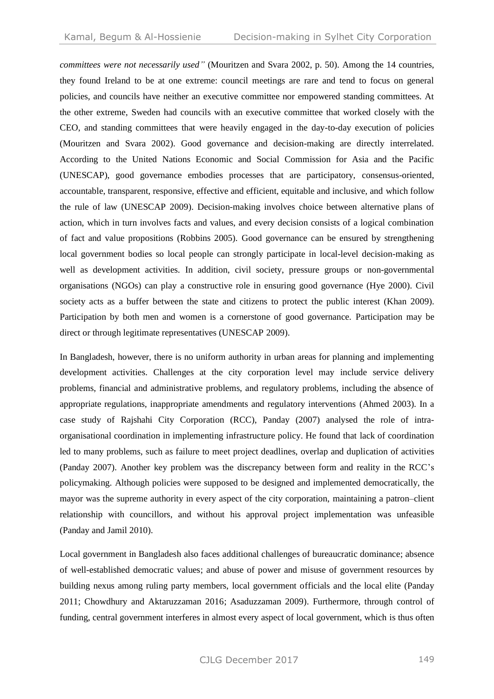*committees were not necessarily used"* (Mouritzen and Svara 2002, p. 50). Among the 14 countries, they found Ireland to be at one extreme: council meetings are rare and tend to focus on general policies, and councils have neither an executive committee nor empowered standing committees. At the other extreme, Sweden had councils with an executive committee that worked closely with the CEO, and standing committees that were heavily engaged in the day-to-day execution of policies (Mouritzen and Svara 2002). Good governance and decision-making are directly interrelated. According to the United Nations Economic and Social Commission for Asia and the Pacific (UNESCAP), good governance embodies processes that are participatory, consensus-oriented, accountable, transparent, responsive, effective and efficient, equitable and inclusive, and which follow the rule of law (UNESCAP 2009). Decision-making involves choice between alternative plans of action, which in turn involves facts and values, and every decision consists of a logical combination of fact and value propositions (Robbins 2005). Good governance can be ensured by strengthening local government bodies so local people can strongly participate in local-level decision-making as well as development activities. In addition, civil society, pressure groups or non-governmental organisations (NGOs) can play a constructive role in ensuring good governance (Hye 2000). Civil society acts as a buffer between the state and citizens to protect the public interest (Khan 2009). Participation by both men and women is a cornerstone of good governance. Participation may be direct or through legitimate representatives (UNESCAP 2009).

In Bangladesh, however, there is no uniform authority in urban areas for planning and implementing development activities. Challenges at the city corporation level may include service delivery problems, financial and administrative problems, and regulatory problems, including the absence of appropriate regulations, inappropriate amendments and regulatory interventions (Ahmed 2003). In a case study of Rajshahi City Corporation (RCC), Panday (2007) analysed the role of intraorganisational coordination in implementing infrastructure policy. He found that lack of coordination led to many problems, such as failure to meet project deadlines, overlap and duplication of activities (Panday 2007). Another key problem was the discrepancy between form and reality in the RCC's policymaking. Although policies were supposed to be designed and implemented democratically, the mayor was the supreme authority in every aspect of the city corporation, maintaining a patron–client relationship with councillors, and without his approval project implementation was unfeasible (Panday and Jamil 2010).

Local government in Bangladesh also faces additional challenges of bureaucratic dominance; absence of well-established democratic values; and abuse of power and misuse of government resources by building nexus among ruling party members, local government officials and the local elite (Panday 2011; Chowdhury and Aktaruzzaman 2016; Asaduzzaman 2009). Furthermore, through control of funding, central government interferes in almost every aspect of local government, which is thus often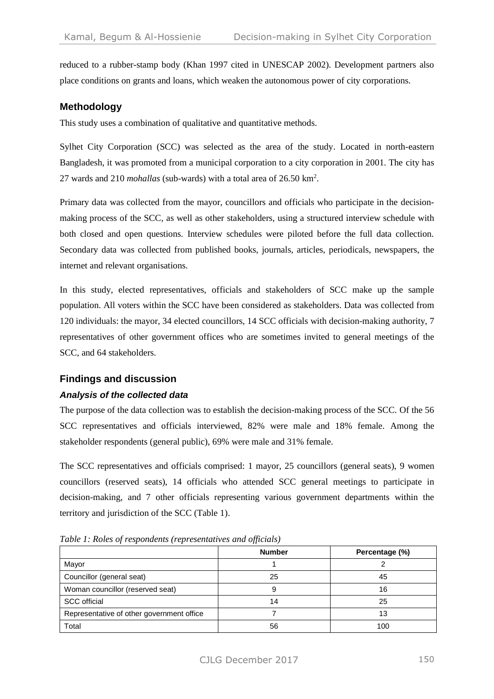reduced to a rubber-stamp body (Khan 1997 cited in UNESCAP 2002). Development partners also place conditions on grants and loans, which weaken the autonomous power of city corporations.

## **Methodology**

This study uses a combination of qualitative and quantitative methods.

Sylhet City Corporation (SCC) was selected as the area of the study. Located in north-eastern Bangladesh, it was promoted from a municipal corporation to a city corporation in 2001. The city has 27 wards and 210 *mohallas* (sub-wards) with a total area of 26.50 km<sup>2</sup> .

Primary data was collected from the mayor, councillors and officials who participate in the decisionmaking process of the SCC, as well as other stakeholders, using a structured interview schedule with both closed and open questions. Interview schedules were piloted before the full data collection. Secondary data was collected from published books, journals, articles, periodicals, newspapers, the internet and relevant organisations.

In this study, elected representatives, officials and stakeholders of SCC make up the sample population. All voters within the SCC have been considered as stakeholders. Data was collected from 120 individuals: the mayor, 34 elected councillors, 14 SCC officials with decision-making authority, 7 representatives of other government offices who are sometimes invited to general meetings of the SCC, and 64 stakeholders.

## **Findings and discussion**

#### *Analysis of the collected data*

The purpose of the data collection was to establish the decision-making process of the SCC. Of the 56 SCC representatives and officials interviewed, 82% were male and 18% female. Among the stakeholder respondents (general public), 69% were male and 31% female.

The SCC representatives and officials comprised: 1 mayor, 25 councillors (general seats), 9 women councillors (reserved seats), 14 officials who attended SCC general meetings to participate in decision-making, and 7 other officials representing various government departments within the territory and jurisdiction of the SCC (Table 1).

|                                           | <b>Number</b> | Percentage (%) |
|-------------------------------------------|---------------|----------------|
| Mayor                                     |               |                |
| Councillor (general seat)                 | 25            | 45             |
| Woman councillor (reserved seat)          | 9             | 16             |
| <b>SCC</b> official                       | 14            | 25             |
| Representative of other government office |               | 13             |
| Total                                     | 56            | 100            |

*Table 1: Roles of respondents (representatives and officials)*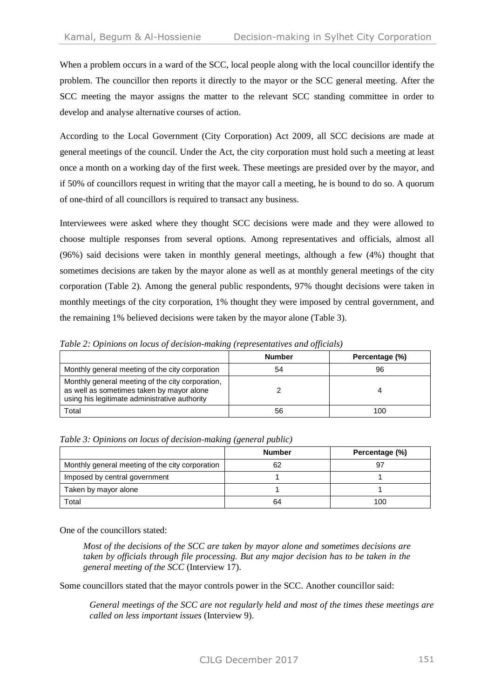When a problem occurs in a ward of the SCC, local people along with the local councillor identify the problem. The councillor then reports it directly to the mayor or the SCC general meeting. After the SCC meeting the mayor assigns the matter to the relevant SCC standing committee in order to develop and analyse alternative courses of action.

According to the Local Government (City Corporation) Act 2009, all SCC decisions are made at general meetings of the council. Under the Act, the city corporation must hold such a meeting at least once a month on a working day of the first week. These meetings are presided over by the mayor, and if 50% of councillors request in writing that the mayor call a meeting, he is bound to do so. A quorum of one-third of all councillors is required to transact any business.

Interviewees were asked where they thought SCC decisions were made and they were allowed to choose multiple responses from several options. Among representatives and officials, almost all (96%) said decisions were taken in monthly general meetings, although a few (4%) thought that sometimes decisions are taken by the mayor alone as well as at monthly general meetings of the city corporation (Table 2). Among the general public respondents, 97% thought decisions were taken in monthly meetings of the city corporation, 1% thought they were imposed by central government, and the remaining 1% believed decisions were taken by the mayor alone (Table 3).

*Table 2: Opinions on locus of decision-making (representatives and officials)*

|                                                                                                                                                | <b>Number</b> | Percentage (%) |
|------------------------------------------------------------------------------------------------------------------------------------------------|---------------|----------------|
| Monthly general meeting of the city corporation                                                                                                | 54            | 96             |
| Monthly general meeting of the city corporation,<br>as well as sometimes taken by mayor alone<br>using his legitimate administrative authority |               |                |
| Total                                                                                                                                          | 56            | 100            |

|  | Table 3: Opinions on locus of decision-making (general public) |  |
|--|----------------------------------------------------------------|--|
|  |                                                                |  |

|                                                 | <b>Number</b> | Percentage (%) |
|-------------------------------------------------|---------------|----------------|
| Monthly general meeting of the city corporation | 62            | -97            |
| Imposed by central government                   |               |                |
| Taken by mayor alone                            |               |                |
| Total                                           | 64            | 100            |

One of the councillors stated:

*Most of the decisions of the SCC are taken by mayor alone and sometimes decisions are taken by officials through file processing. But any major decision has to be taken in the general meeting of the SCC* (Interview 17).

Some councillors stated that the mayor controls power in the SCC. Another councillor said:

*General meetings of the SCC are not regularly held and most of the times these meetings are called on less important issues* (Interview 9).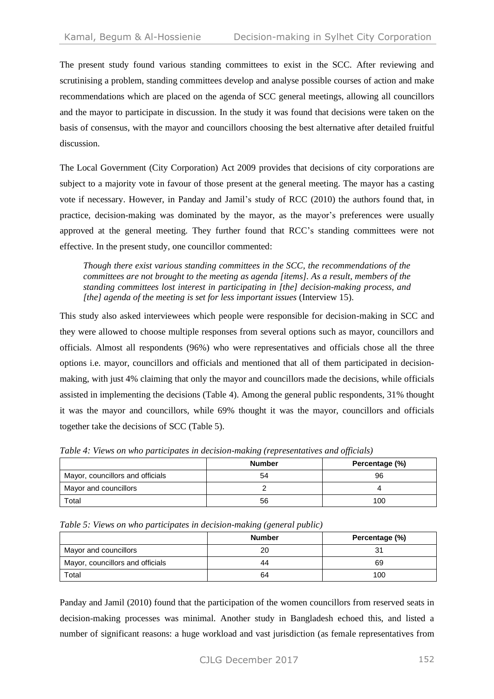The present study found various standing committees to exist in the SCC. After reviewing and scrutinising a problem, standing committees develop and analyse possible courses of action and make recommendations which are placed on the agenda of SCC general meetings, allowing all councillors and the mayor to participate in discussion. In the study it was found that decisions were taken on the basis of consensus, with the mayor and councillors choosing the best alternative after detailed fruitful discussion.

The Local Government (City Corporation) Act 2009 provides that decisions of city corporations are subject to a majority vote in favour of those present at the general meeting. The mayor has a casting vote if necessary. However, in Panday and Jamil's study of RCC (2010) the authors found that, in practice, decision-making was dominated by the mayor, as the mayor's preferences were usually approved at the general meeting. They further found that RCC's standing committees were not effective. In the present study, one councillor commented:

*Though there exist various standing committees in the SCC, the recommendations of the committees are not brought to the meeting as agenda [items]. As a result, members of the standing committees lost interest in participating in [the] decision-making process, and [the] agenda of the meeting is set for less important issues* (Interview 15).

This study also asked interviewees which people were responsible for decision-making in SCC and they were allowed to choose multiple responses from several options such as mayor, councillors and officials. Almost all respondents (96%) who were representatives and officials chose all the three options i.e. mayor, councillors and officials and mentioned that all of them participated in decisionmaking, with just 4% claiming that only the mayor and councillors made the decisions, while officials assisted in implementing the decisions (Table 4). Among the general public respondents, 31% thought it was the mayor and councillors, while 69% thought it was the mayor, councillors and officials together take the decisions of SCC (Table 5).

|                                  | <b>Number</b> | Percentage (%) |
|----------------------------------|---------------|----------------|
| Mayor, councillors and officials | 54            | 96             |
| Mayor and councillors            |               |                |
| Total                            | 56            | 100            |

*Table 4: Views on who participates in decision-making (representatives and officials)*

*Table 5: Views on who participates in decision-making (general public)*

| .                                |               |                |
|----------------------------------|---------------|----------------|
|                                  | <b>Number</b> | Percentage (%) |
| Mayor and councillors            | 20            |                |
| Mayor, councillors and officials | 44            | 69             |
| Total                            | 64            | 100            |

Panday and Jamil (2010) found that the participation of the women councillors from reserved seats in decision-making processes was minimal. Another study in Bangladesh echoed this, and listed a number of significant reasons: a huge workload and vast jurisdiction (as female representatives from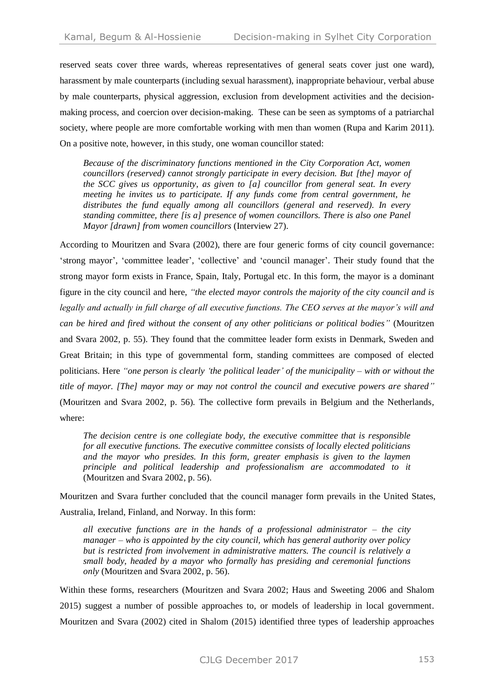reserved seats cover three wards, whereas representatives of general seats cover just one ward), harassment by male counterparts (including sexual harassment), inappropriate behaviour, verbal abuse by male counterparts, physical aggression, exclusion from development activities and the decisionmaking process, and coercion over decision-making. These can be seen as symptoms of a patriarchal society, where people are more comfortable working with men than women (Rupa and Karim 2011). On a positive note, however, in this study, one woman councillor stated:

*Because of the discriminatory functions mentioned in the City Corporation Act, women councillors (reserved) cannot strongly participate in every decision. But [the] mayor of the SCC gives us opportunity, as given to [a] councillor from general seat. In every meeting he invites us to participate. If any funds come from central government, he distributes the fund equally among all councillors (general and reserved). In every standing committee, there [is a] presence of women councillors. There is also one Panel Mayor [drawn] from women councillors* (Interview 27).

According to Mouritzen and Svara (2002), there are four generic forms of city council governance: 'strong mayor', 'committee leader', 'collective' and 'council manager'. Their study found that the strong mayor form exists in France, Spain, Italy, Portugal etc. In this form, the mayor is a dominant figure in the city council and here, *"the elected mayor controls the majority of the city council and is legally and actually in full charge of all executive functions. The CEO serves at the mayor's will and can be hired and fired without the consent of any other politicians or political bodies"* (Mouritzen and Svara 2002, p. 55). They found that the committee leader form exists in Denmark, Sweden and Great Britain; in this type of governmental form, standing committees are composed of elected politicians. Here *"one person is clearly 'the political leader' of the municipality – with or without the title of mayor. [The] mayor may or may not control the council and executive powers are shared"* (Mouritzen and Svara 2002, p. 56)*.* The collective form prevails in Belgium and the Netherlands, where:

*The decision centre is one collegiate body, the executive committee that is responsible for all executive functions. The executive committee consists of locally elected politicians and the mayor who presides. In this form, greater emphasis is given to the laymen principle and political leadership and professionalism are accommodated to it* (Mouritzen and Svara 2002, p. 56).

Mouritzen and Svara further concluded that the council manager form prevails in the United States, Australia, Ireland, Finland, and Norway. In this form:

*all executive functions are in the hands of a professional administrator – the city manager – who is appointed by the city council, which has general authority over policy but is restricted from involvement in administrative matters. The council is relatively a small body, headed by a mayor who formally has presiding and ceremonial functions only* (Mouritzen and Svara 2002, p. 56).

Within these forms, researchers (Mouritzen and Svara 2002; Haus and Sweeting 2006 and Shalom 2015) suggest a number of possible approaches to, or models of leadership in local government. Mouritzen and Svara (2002) cited in Shalom (2015) identified three types of leadership approaches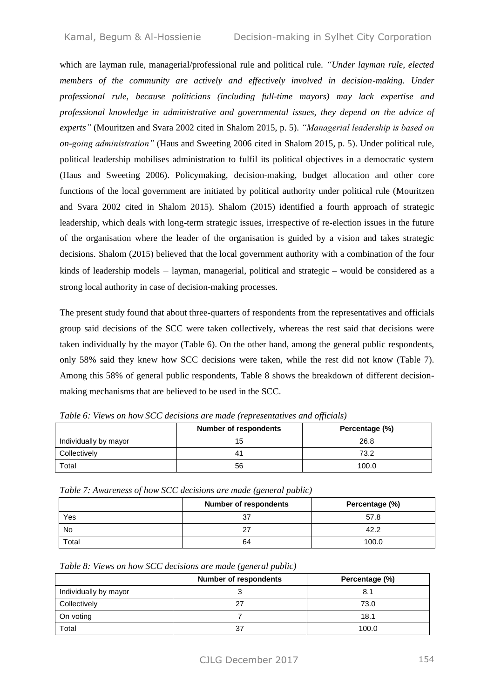which are layman rule, managerial/professional rule and political rule. *"Under layman rule, elected members of the community are actively and effectively involved in decision-making. Under professional rule, because politicians (including full-time mayors) may lack expertise and professional knowledge in administrative and governmental issues, they depend on the advice of experts"* (Mouritzen and Svara 2002 cited in Shalom 2015, p. 5). *"Managerial leadership is based on on-going administration"* (Haus and Sweeting 2006 cited in Shalom 2015, p. 5). Under political rule, political leadership mobilises administration to fulfil its political objectives in a democratic system (Haus and Sweeting 2006). Policymaking, decision-making, budget allocation and other core functions of the local government are initiated by political authority under political rule (Mouritzen and Svara 2002 cited in Shalom 2015). Shalom (2015) identified a fourth approach of strategic leadership, which deals with long-term strategic issues, irrespective of re-election issues in the future of the organisation where the leader of the organisation is guided by a vision and takes strategic decisions. Shalom (2015) believed that the local government authority with a combination of the four kinds of leadership models – layman, managerial, political and strategic – would be considered as a strong local authority in case of decision-making processes.

The present study found that about three-quarters of respondents from the representatives and officials group said decisions of the SCC were taken collectively, whereas the rest said that decisions were taken individually by the mayor (Table 6). On the other hand, among the general public respondents, only 58% said they knew how SCC decisions were taken, while the rest did not know (Table 7). Among this 58% of general public respondents, Table 8 shows the breakdown of different decisionmaking mechanisms that are believed to be used in the SCC.

|                       | <b>Number of respondents</b> | Percentage (%) |
|-----------------------|------------------------------|----------------|
| Individually by mayor | 15                           | 26.8           |
| Collectively          | 41                           | 73.2           |
| Total                 | 56                           | 100.0          |

*Table 6: Views on how SCC decisions are made (representatives and officials)*

| Table 7: Awareness of how SCC decisions are made (general public) |
|-------------------------------------------------------------------|
|-------------------------------------------------------------------|

|       | <b>Number of respondents</b> | Percentage (%) |
|-------|------------------------------|----------------|
| Yes   | -37                          | 57.8           |
| No    | - 27                         | 42.2           |
| Total | 64                           | 100.0          |

|                       | <b>Number of respondents</b> | Percentage (%) |
|-----------------------|------------------------------|----------------|
| Individually by mayor |                              | 8.1            |
| Collectively          | 27                           | 73.0           |
| On voting             |                              | 18.1           |
| Total                 | 37                           | 100.0          |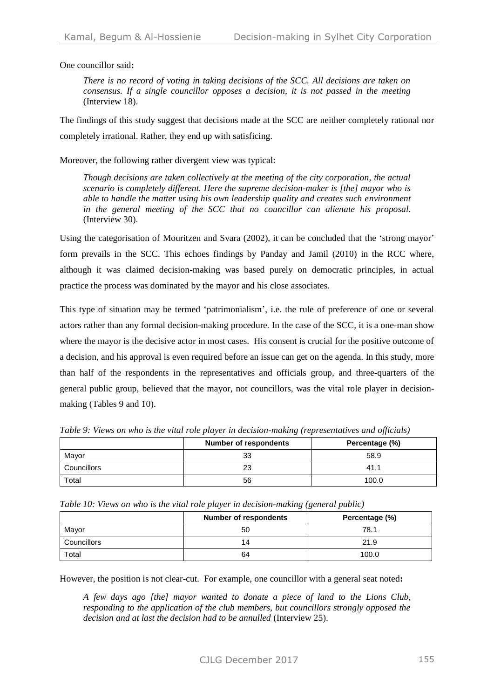One councillor said**:**

*There is no record of voting in taking decisions of the SCC. All decisions are taken on consensus. If a single councillor opposes a decision, it is not passed in the meeting*  (Interview 18).

The findings of this study suggest that decisions made at the SCC are neither completely rational nor completely irrational. Rather, they end up with satisficing.

Moreover, the following rather divergent view was typical:

*Though decisions are taken collectively at the meeting of the city corporation, the actual scenario is completely different. Here the supreme decision-maker is [the] mayor who is able to handle the matter using his own leadership quality and creates such environment in the general meeting of the SCC that no councillor can alienate his proposal.*  (Interview 30).

Using the categorisation of Mouritzen and Svara (2002), it can be concluded that the 'strong mayor' form prevails in the SCC. This echoes findings by Panday and Jamil (2010) in the RCC where, although it was claimed decision-making was based purely on democratic principles, in actual practice the process was dominated by the mayor and his close associates.

This type of situation may be termed 'patrimonialism', i.e. the rule of preference of one or several actors rather than any formal decision-making procedure. In the case of the SCC, it is a one-man show where the mayor is the decisive actor in most cases. His consent is crucial for the positive outcome of a decision, and his approval is even required before an issue can get on the agenda. In this study, more than half of the respondents in the representatives and officials group, and three-quarters of the general public group, believed that the mayor, not councillors, was the vital role player in decisionmaking (Tables 9 and 10).

|             | <b>Number of respondents</b> | Percentage (%) |
|-------------|------------------------------|----------------|
| Mayor       | 33                           | 58.9           |
| Councillors | 23                           | 41.1           |
| Total       | 56                           | 100.0          |

*Table 9: Views on who is the vital role player in decision-making (representatives and officials)*

| Table 10: Views on who is the vital role player in decision-making (general public) |  |  |  |  |  |  |  |
|-------------------------------------------------------------------------------------|--|--|--|--|--|--|--|
|-------------------------------------------------------------------------------------|--|--|--|--|--|--|--|

|             | <b>Number of respondents</b> | Percentage (%) |
|-------------|------------------------------|----------------|
| Mayor       | 50                           | 78.1           |
| Councillors | 14                           | 21.9           |
| Total       | 64                           | 100.0          |

However, the position is not clear-cut. For example, one councillor with a general seat noted**:**

*A few days ago [the] mayor wanted to donate a piece of land to the Lions Club, responding to the application of the club members, but councillors strongly opposed the decision and at last the decision had to be annulled* (Interview 25).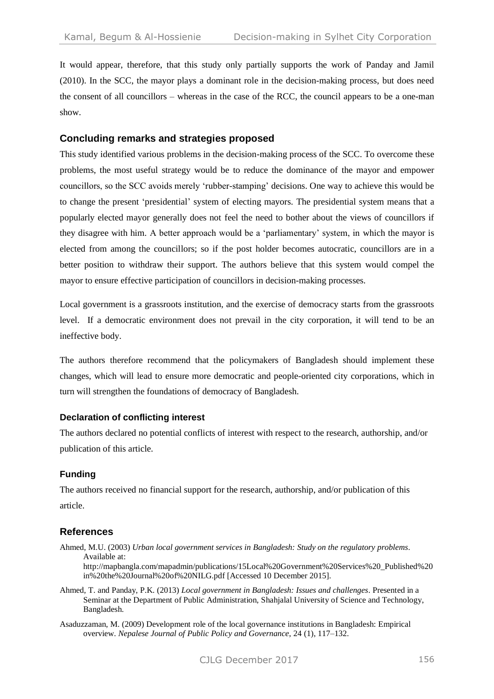It would appear, therefore, that this study only partially supports the work of Panday and Jamil (2010). In the SCC, the mayor plays a dominant role in the decision-making process, but does need the consent of all councillors – whereas in the case of the RCC, the council appears to be a one-man show.

#### **Concluding remarks and strategies proposed**

This study identified various problems in the decision-making process of the SCC. To overcome these problems, the most useful strategy would be to reduce the dominance of the mayor and empower councillors, so the SCC avoids merely 'rubber-stamping' decisions. One way to achieve this would be to change the present 'presidential' system of electing mayors. The presidential system means that a popularly elected mayor generally does not feel the need to bother about the views of councillors if they disagree with him. A better approach would be a 'parliamentary' system, in which the mayor is elected from among the councillors; so if the post holder becomes autocratic, councillors are in a better position to withdraw their support. The authors believe that this system would compel the mayor to ensure effective participation of councillors in decision-making processes.

Local government is a grassroots institution, and the exercise of democracy starts from the grassroots level. If a democratic environment does not prevail in the city corporation, it will tend to be an ineffective body.

The authors therefore recommend that the policymakers of Bangladesh should implement these changes, which will lead to ensure more democratic and people-oriented city corporations, which in turn will strengthen the foundations of democracy of Bangladesh.

#### **Declaration of conflicting interest**

The authors declared no potential conflicts of interest with respect to the research, authorship, and/or publication of this article.

#### **Funding**

The authors received no financial support for the research, authorship, and/or publication of this article.

#### **References**

Ahmed, M.U. (2003) *Urban local government services in Bangladesh: Study on the regulatory problems*. Available at:

[http://mapbangla.com/mapadmin/publications/15Local%20Government%20Services%20\\_Published%20](http://mapbangla.com/mapadmin/publications/15Local%20Government%20Services%20_Published%20in%20the%20Journal%20of%20NILG.pdf) [in%20the%20Journal%20of%20NILG.pdf](http://mapbangla.com/mapadmin/publications/15Local%20Government%20Services%20_Published%20in%20the%20Journal%20of%20NILG.pdf) [Accessed 10 December 2015].

- Ahmed, T. and Panday, P.K. (2013) *Local government in Bangladesh: Issues and challenges*. Presented in a Seminar at the Department of Public Administration, Shahjalal University of Science and Technology, Bangladesh.
- Asaduzzaman, M. (2009) Development role of the local governance institutions in Bangladesh: Empirical overview. *Nepalese Journal of Public Policy and Governance*, 24 (1), 117–132.